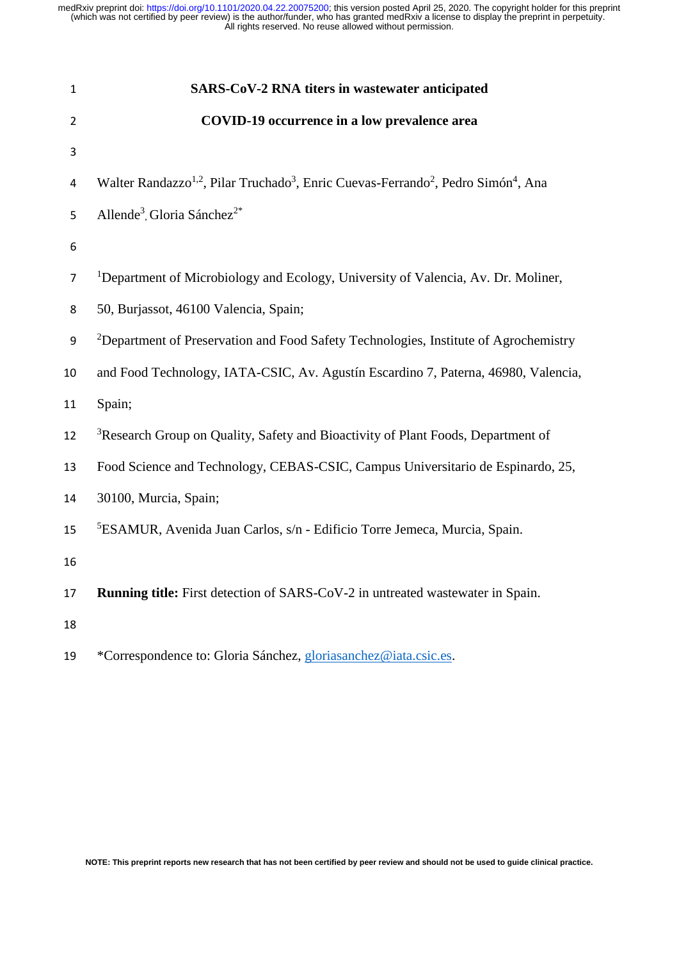| $\mathbf{1}$            | SARS-CoV-2 RNA titers in wastewater anticipated                                                                                    |
|-------------------------|------------------------------------------------------------------------------------------------------------------------------------|
| 2                       | COVID-19 occurrence in a low prevalence area                                                                                       |
| 3                       |                                                                                                                                    |
| $\overline{\mathbf{4}}$ | Walter Randazzo <sup>1,2</sup> , Pilar Truchado <sup>3</sup> , Enric Cuevas-Ferrando <sup>2</sup> , Pedro Simón <sup>4</sup> , Ana |
| 5                       | Allende <sup>3</sup> , Gloria Sánchez <sup>2*</sup>                                                                                |
| 6                       |                                                                                                                                    |
| $\overline{7}$          | <sup>1</sup> Department of Microbiology and Ecology, University of Valencia, Av. Dr. Moliner,                                      |
| 8                       | 50, Burjassot, 46100 Valencia, Spain;                                                                                              |
| 9                       | <sup>2</sup> Department of Preservation and Food Safety Technologies, Institute of Agrochemistry                                   |
| 10                      | and Food Technology, IATA-CSIC, Av. Agustín Escardino 7, Paterna, 46980, Valencia,                                                 |
| 11                      | Spain;                                                                                                                             |
| 12                      | <sup>3</sup> Research Group on Quality, Safety and Bioactivity of Plant Foods, Department of                                       |
| 13                      | Food Science and Technology, CEBAS-CSIC, Campus Universitario de Espinardo, 25,                                                    |
| 14                      | 30100, Murcia, Spain;                                                                                                              |
| 15                      | <sup>5</sup> ESAMUR, Avenida Juan Carlos, s/n - Edificio Torre Jemeca, Murcia, Spain.                                              |
| 16                      |                                                                                                                                    |
| 17                      | Running title: First detection of SARS-CoV-2 in untreated wastewater in Spain.                                                     |
| 18                      |                                                                                                                                    |
| 19                      | *Correspondence to: Gloria Sánchez, gloriasanchez@iata.csic.es.                                                                    |

**NOTE: This preprint reports new research that has not been certified by peer review and should not be used to guide clinical practice.**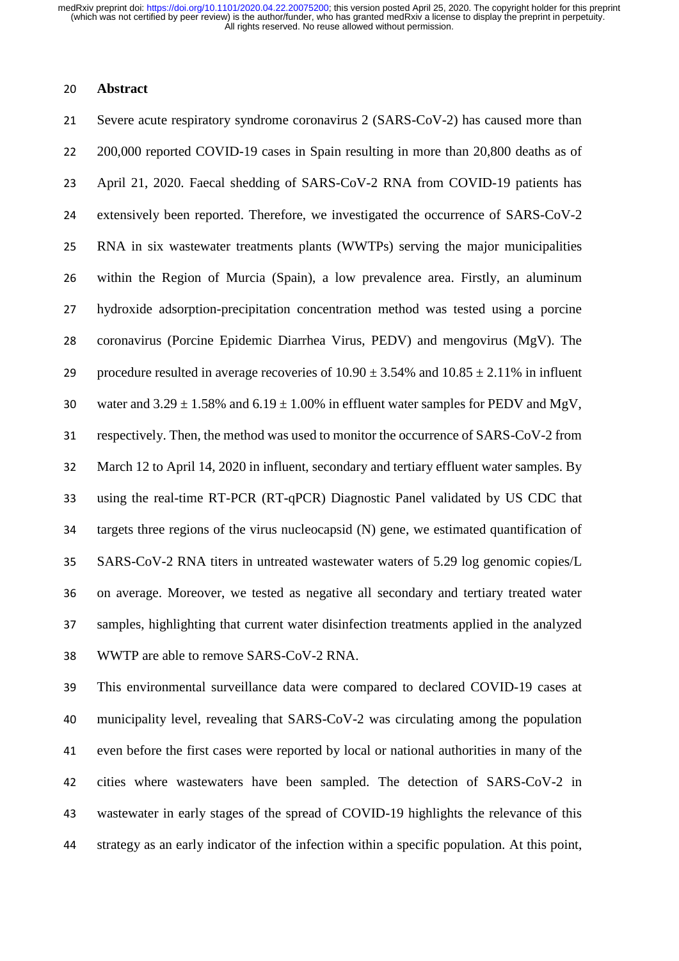#### **Abstract**

 Severe acute respiratory syndrome coronavirus 2 (SARS-CoV-2) has caused more than 22 200,000 reported COVID-19 cases in Spain resulting in more than 20,800 deaths as of April 21, 2020. Faecal shedding of SARS-CoV-2 RNA from COVID-19 patients has extensively been reported. Therefore, we investigated the occurrence of SARS-CoV-2 RNA in six wastewater treatments plants (WWTPs) serving the major municipalities within the Region of Murcia (Spain), a low prevalence area. Firstly, an aluminum hydroxide adsorption-precipitation concentration method was tested using a porcine coronavirus (Porcine Epidemic Diarrhea Virus, PEDV) and mengovirus (MgV). The 29 procedure resulted in average recoveries of  $10.90 \pm 3.54\%$  and  $10.85 \pm 2.11\%$  in influent 30 water and  $3.29 \pm 1.58\%$  and  $6.19 \pm 1.00\%$  in effluent water samples for PEDV and MgV, respectively. Then, the method was used to monitor the occurrence of SARS-CoV-2 from March 12 to April 14, 2020 in influent, secondary and tertiary effluent water samples. By using the real-time RT-PCR (RT-qPCR) Diagnostic Panel validated by US CDC that targets three regions of the virus nucleocapsid (N) gene, we estimated quantification of SARS-CoV-2 RNA titers in untreated wastewater waters of 5.29 log genomic copies/L on average. Moreover, we tested as negative all secondary and tertiary treated water samples, highlighting that current water disinfection treatments applied in the analyzed WWTP are able to remove SARS-CoV-2 RNA.

 This environmental surveillance data were compared to declared COVID-19 cases at municipality level, revealing that SARS-CoV-2 was circulating among the population even before the first cases were reported by local or national authorities in many of the cities where wastewaters have been sampled. The detection of SARS-CoV-2 in wastewater in early stages of the spread of COVID-19 highlights the relevance of this strategy as an early indicator of the infection within a specific population. At this point,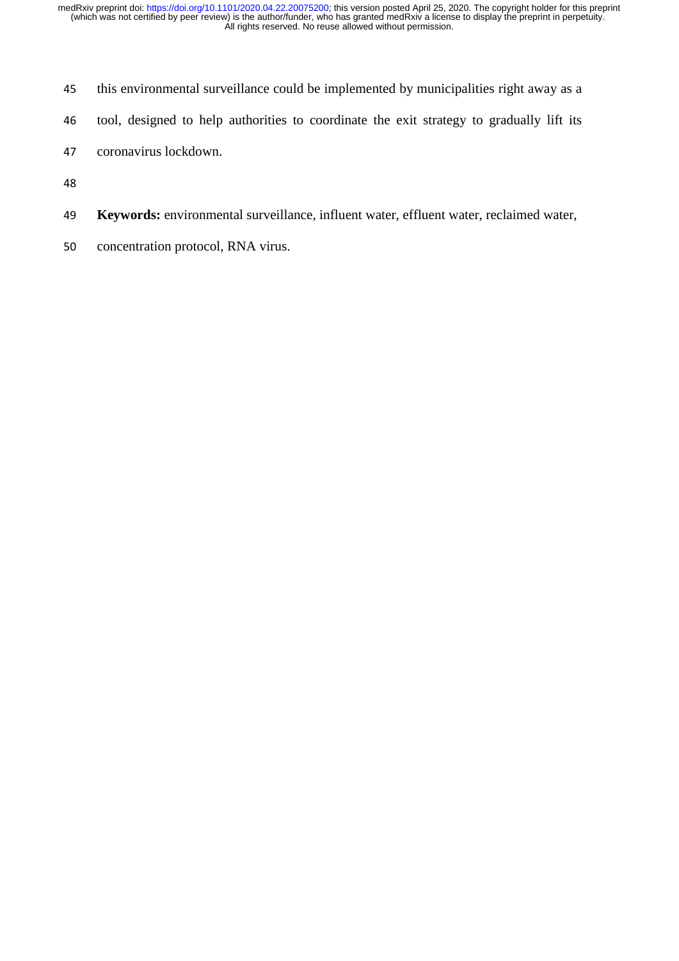- this environmental surveillance could be implemented by municipalities right away as a
- tool, designed to help authorities to coordinate the exit strategy to gradually lift its
- coronavirus lockdown.
- 
- **Keywords:** environmental surveillance, influent water, effluent water, reclaimed water,
- concentration protocol, RNA virus.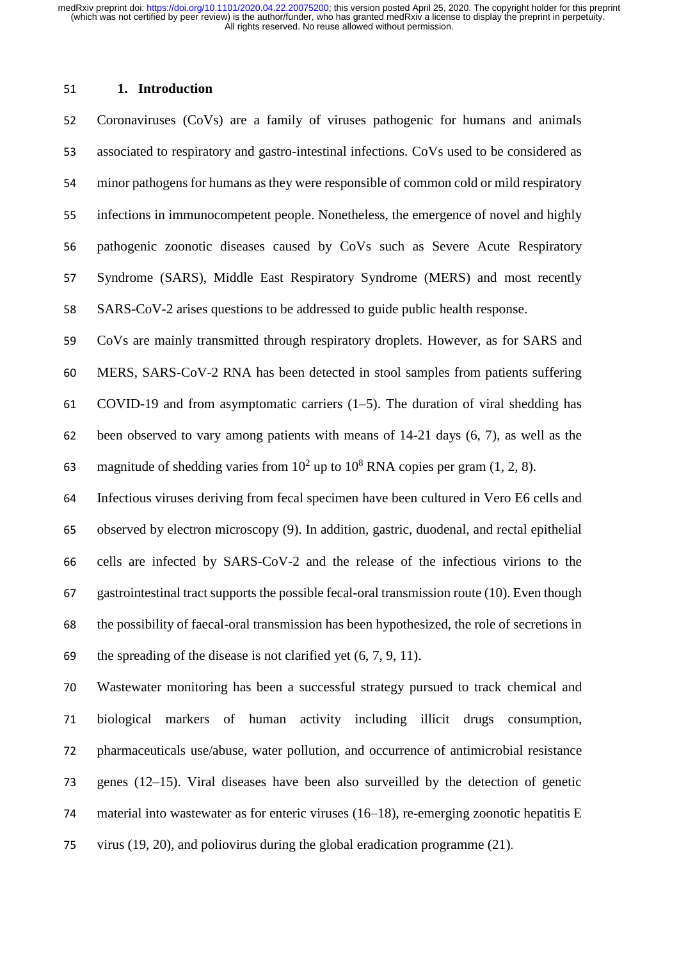#### **1. Introduction**

 Coronaviruses (CoVs) are a family of viruses pathogenic for humans and animals associated to respiratory and gastro-intestinal infections. CoVs used to be considered as minor pathogens for humans as they were responsible of common cold or mild respiratory infections in immunocompetent people. Nonetheless, the emergence of novel and highly pathogenic zoonotic diseases caused by CoVs such as Severe Acute Respiratory Syndrome (SARS), Middle East Respiratory Syndrome (MERS) and most recently SARS-CoV-2 arises questions to be addressed to guide public health response.

 CoVs are mainly transmitted through respiratory droplets. However, as for SARS and MERS, SARS-CoV-2 RNA has been detected in stool samples from patients suffering COVID-19 and from asymptomatic carriers (1–5). The duration of viral shedding has been observed to vary among patients with means of 14-21 days (6, 7), as well as the 63 magnitude of shedding varies from  $10^2$  up to  $10^8$  RNA copies per gram (1, 2, 8).

 Infectious viruses deriving from fecal specimen have been cultured in Vero E6 cells and observed by electron microscopy (9). In addition, gastric, duodenal, and rectal epithelial cells are infected by SARS-CoV-2 and the release of the infectious virions to the gastrointestinal tract supports the possible fecal-oral transmission route (10). Even though the possibility of faecal-oral transmission has been hypothesized, the role of secretions in 69 the spreading of the disease is not clarified yet  $(6, 7, 9, 11)$ .

 Wastewater monitoring has been a successful strategy pursued to track chemical and biological markers of human activity including illicit drugs consumption, pharmaceuticals use/abuse, water pollution, and occurrence of antimicrobial resistance genes (12–15). Viral diseases have been also surveilled by the detection of genetic material into wastewater as for enteric viruses (16–18), re-emerging zoonotic hepatitis E virus (19, 20), and poliovirus during the global eradication programme (21).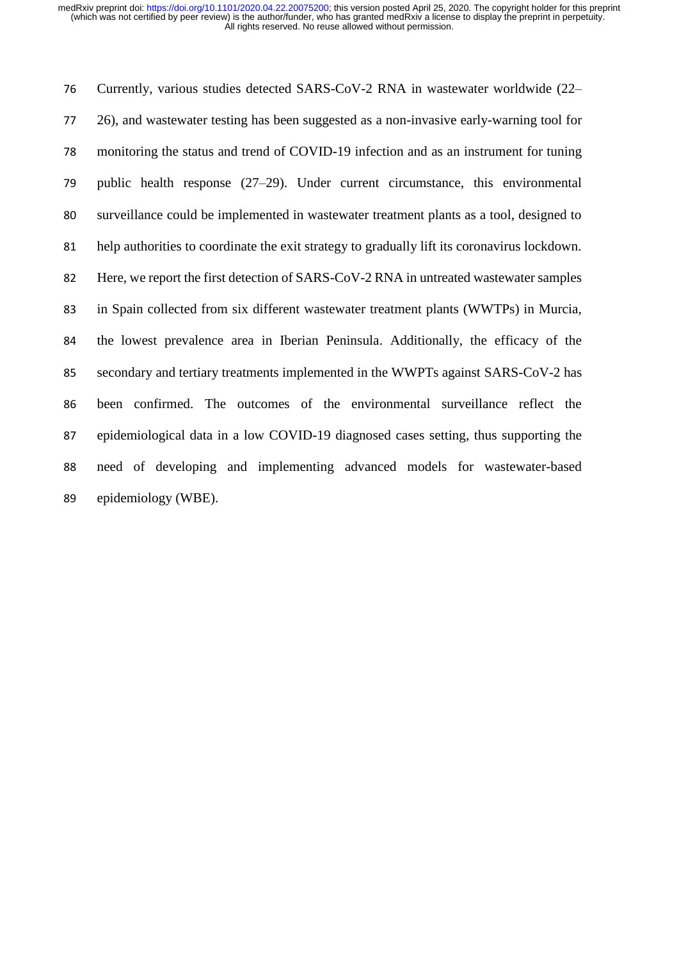Currently, various studies detected SARS-CoV-2 RNA in wastewater worldwide (22– 26), and wastewater testing has been suggested as a non-invasive early-warning tool for monitoring the status and trend of COVID-19 infection and as an instrument for tuning public health response (27–29). Under current circumstance, this environmental surveillance could be implemented in wastewater treatment plants as a tool, designed to help authorities to coordinate the exit strategy to gradually lift its coronavirus lockdown. 82 Here, we report the first detection of SARS-CoV-2 RNA in untreated wastewater samples in Spain collected from six different wastewater treatment plants (WWTPs) in Murcia, the lowest prevalence area in Iberian Peninsula. Additionally, the efficacy of the secondary and tertiary treatments implemented in the WWPTs against SARS-CoV-2 has been confirmed. The outcomes of the environmental surveillance reflect the epidemiological data in a low COVID-19 diagnosed cases setting, thus supporting the need of developing and implementing advanced models for wastewater-based epidemiology (WBE).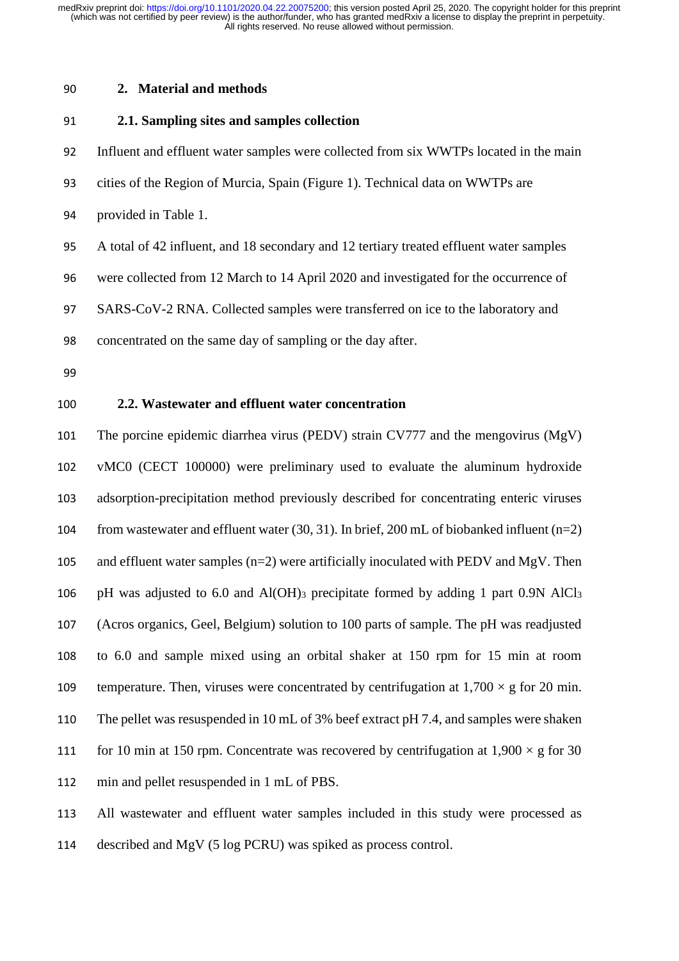#### **2. Material and methods**

#### **2.1. Sampling sites and samples collection**

Influent and effluent water samples were collected from six WWTPs located in the main

- cities of the Region of Murcia, Spain (Figure 1). Technical data on WWTPs are
- provided in Table 1.

A total of 42 influent, and 18 secondary and 12 tertiary treated effluent water samples

were collected from 12 March to 14 April 2020 and investigated for the occurrence of

SARS-CoV-2 RNA. Collected samples were transferred on ice to the laboratory and

concentrated on the same day of sampling or the day after.

#### **2.2. Wastewater and effluent water concentration**

 The porcine epidemic diarrhea virus (PEDV) strain CV777 and the mengovirus (MgV) vMC0 (CECT 100000) were preliminary used to evaluate the aluminum hydroxide adsorption-precipitation method previously described for concentrating enteric viruses from wastewater and effluent water (30, 31). In brief, 200 mL of biobanked influent (n=2) and effluent water samples (n=2) were artificially inoculated with PEDV and MgV. Then pH was adjusted to 6.0 and Al(OH)<sup>3</sup> precipitate formed by adding 1 part 0.9N AlCl<sup>3</sup> (Acros organics, Geel, Belgium) solution to 100 parts of sample. The pH was readjusted to 6.0 and sample mixed using an orbital shaker at 150 rpm for 15 min at room 109 temperature. Then, viruses were concentrated by centrifugation at  $1,700 \times g$  for 20 min. The pellet was resuspended in 10 mL of 3% beef extract pH 7.4, and samples were shaken 111 for 10 min at 150 rpm. Concentrate was recovered by centrifugation at  $1,900 \times g$  for 30 min and pellet resuspended in 1 mL of PBS.

 All wastewater and effluent water samples included in this study were processed as described and MgV (5 log PCRU) was spiked as process control.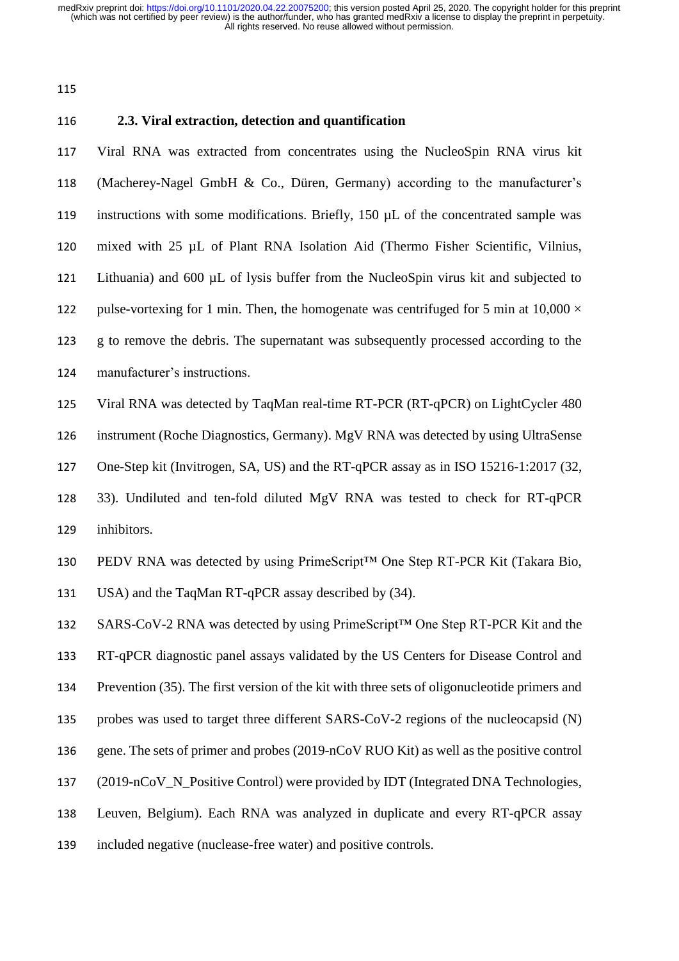# **2.3. Viral extraction, detection and quantification**  Viral RNA was extracted from concentrates using the NucleoSpin RNA virus kit (Macherey-Nagel GmbH & Co., Düren, Germany) according to the manufacturer's instructions with some modifications. Briefly, 150 µL of the concentrated sample was mixed with 25 µL of Plant RNA Isolation Aid (Thermo Fisher Scientific, Vilnius, Lithuania) and 600 µL of lysis buffer from the NucleoSpin virus kit and subjected to 122 pulse-vortexing for 1 min. Then, the homogenate was centrifuged for 5 min at  $10,000 \times$  g to remove the debris. The supernatant was subsequently processed according to the manufacturer's instructions. Viral RNA was detected by TaqMan real-time RT-PCR (RT-qPCR) on LightCycler 480 instrument (Roche Diagnostics, Germany). MgV RNA was detected by using UltraSense One-Step kit (Invitrogen, SA, US) and the RT-qPCR assay as in ISO 15216-1:2017 (32, 33). Undiluted and ten-fold diluted MgV RNA was tested to check for RT-qPCR inhibitors. PEDV RNA was detected by using PrimeScript™ One Step RT-PCR Kit (Takara Bio, USA) and the TaqMan RT-qPCR assay described by (34). SARS-CoV-2 RNA was detected by using PrimeScript™ One Step RT-PCR Kit and the RT-qPCR diagnostic panel assays validated by the US Centers for Disease Control and Prevention (35). The first version of the kit with three sets of oligonucleotide primers and probes was used to target three different SARS-CoV-2 regions of the nucleocapsid (N) gene. The sets of primer and probes (2019-nCoV RUO Kit) as well as the positive control 137 (2019-nCoV N Positive Control) were provided by IDT (Integrated DNA Technologies, Leuven, Belgium). Each RNA was analyzed in duplicate and every RT-qPCR assay included negative (nuclease-free water) and positive controls.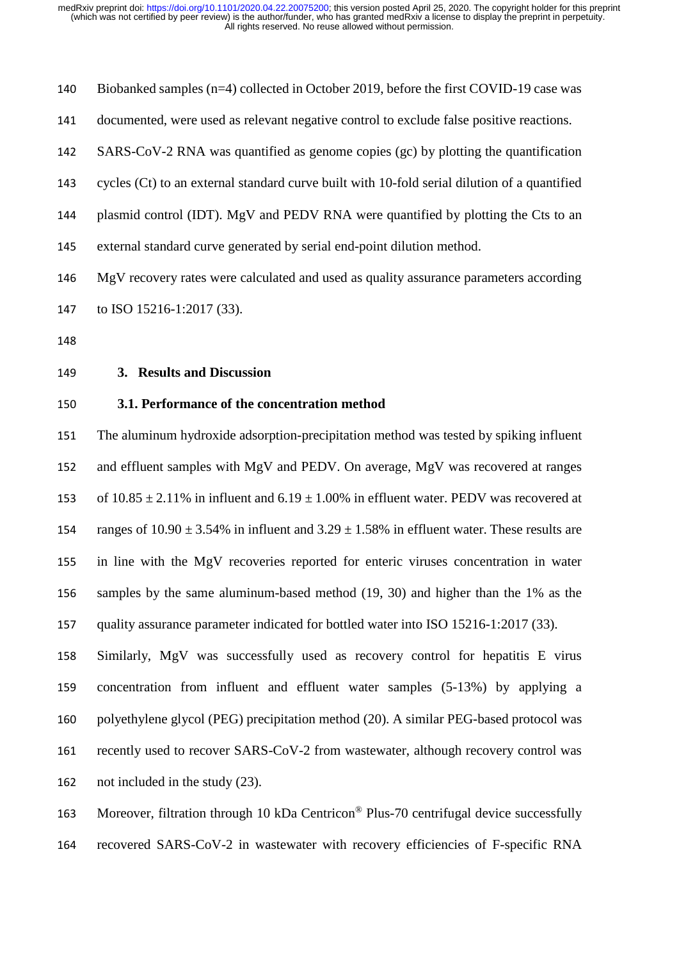| 140 | Biobanked samples (n=4) collected in October 2019, before the first COVID-19 case was               |
|-----|-----------------------------------------------------------------------------------------------------|
| 141 | documented, were used as relevant negative control to exclude false positive reactions.             |
| 142 | SARS-CoV-2 RNA was quantified as genome copies (gc) by plotting the quantification                  |
| 143 | cycles (Ct) to an external standard curve built with 10-fold serial dilution of a quantified        |
| 144 | plasmid control (IDT). MgV and PEDV RNA were quantified by plotting the Cts to an                   |
| 145 | external standard curve generated by serial end-point dilution method.                              |
| 146 | MgV recovery rates were calculated and used as quality assurance parameters according               |
| 147 | to ISO 15216-1:2017 (33).                                                                           |
| 148 |                                                                                                     |
| 149 | 3. Results and Discussion                                                                           |
| 150 | 3.1. Performance of the concentration method                                                        |
| 151 | The aluminum hydroxide adsorption-precipitation method was tested by spiking influent               |
| 152 | and effluent samples with MgV and PEDV. On average, MgV was recovered at ranges                     |
| 153 | of $10.85 \pm 2.11\%$ in influent and $6.19 \pm 1.00\%$ in effluent water. PEDV was recovered at    |
| 154 | ranges of $10.90 \pm 3.54\%$ in influent and $3.29 \pm 1.58\%$ in effluent water. These results are |

 in line with the MgV recoveries reported for enteric viruses concentration in water samples by the same aluminum-based method (19, 30) and higher than the 1% as the quality assurance parameter indicated for bottled water into ISO 15216-1:2017 (33).

 Similarly, MgV was successfully used as recovery control for hepatitis E virus concentration from influent and effluent water samples (5-13%) by applying a polyethylene glycol (PEG) precipitation method (20). A similar PEG-based protocol was recently used to recover SARS-CoV-2 from wastewater, although recovery control was not included in the study (23).

163 Moreover, filtration through 10 kDa Centricon<sup>®</sup> Plus-70 centrifugal device successfully

recovered SARS-CoV-2 in wastewater with recovery efficiencies of F-specific RNA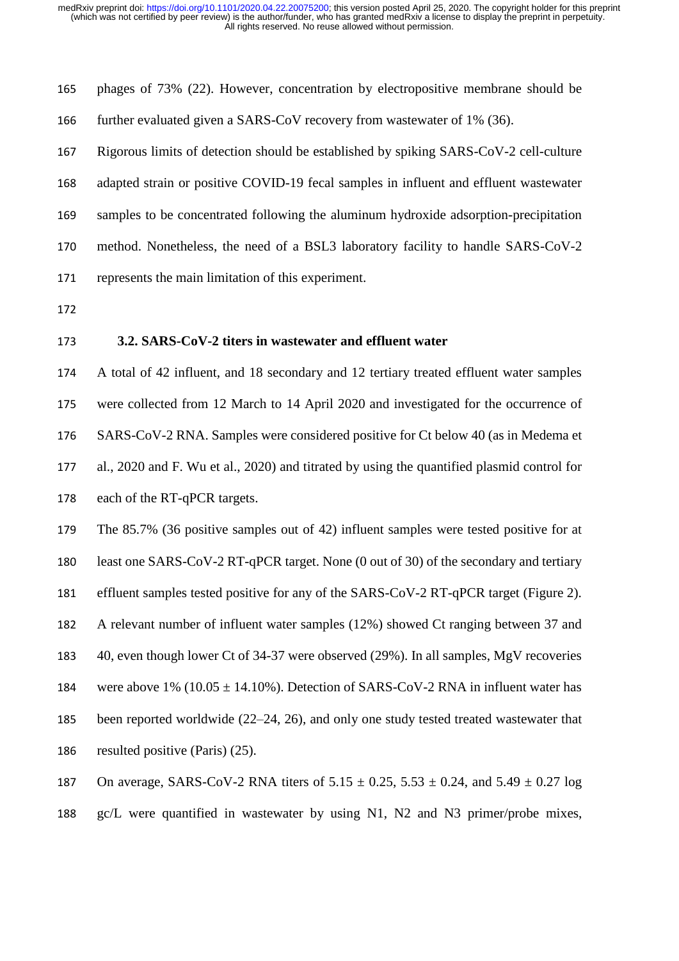| 165 | phages of 73% (22). However, concentration by electropositive membrane should be           |
|-----|--------------------------------------------------------------------------------------------|
| 166 | further evaluated given a SARS-CoV recovery from wastewater of 1% (36).                    |
| 167 | Rigorous limits of detection should be established by spiking SARS-CoV-2 cell-culture      |
| 168 | adapted strain or positive COVID-19 fecal samples in influent and effluent wastewater      |
| 169 | samples to be concentrated following the aluminum hydroxide adsorption-precipitation       |
| 170 | method. Nonetheless, the need of a BSL3 laboratory facility to handle SARS-CoV-2           |
| 171 | represents the main limitation of this experiment.                                         |
| 172 |                                                                                            |
| 173 | 3.2. SARS-CoV-2 titers in wastewater and effluent water                                    |
| 174 | A total of 42 influent, and 18 secondary and 12 tertiary treated effluent water samples    |
| 175 | were collected from 12 March to 14 April 2020 and investigated for the occurrence of       |
| 176 | SARS-CoV-2 RNA. Samples were considered positive for Ct below 40 (as in Medema et          |
| 177 | al., 2020 and F. Wu et al., 2020) and titrated by using the quantified plasmid control for |
| 178 | each of the RT-qPCR targets.                                                               |
| 179 | The 85.7% (36 positive samples out of 42) influent samples were tested positive for at     |
| 180 | least one SARS-CoV-2 RT-qPCR target. None (0 out of 30) of the secondary and tertiary      |
| 181 | effluent samples tested positive for any of the SARS-CoV-2 RT-qPCR target (Figure 2).      |
| 182 | A relevant number of influent water samples (12%) showed Ct ranging between 37 and         |
| 183 | 40, even though lower Ct of 34-37 were observed (29%). In all samples, MgV recoveries      |
| 184 | were above $1\%$ (10.05 $\pm$ 14.10%). Detection of SARS-CoV-2 RNA in influent water has   |
| 185 | been reported worldwide (22–24, 26), and only one study tested treated wastewater that     |
| 186 | resulted positive (Paris) (25).                                                            |

187 On average, SARS-CoV-2 RNA titers of  $5.15 \pm 0.25$ ,  $5.53 \pm 0.24$ , and  $5.49 \pm 0.27$  log gc/L were quantified in wastewater by using N1, N2 and N3 primer/probe mixes,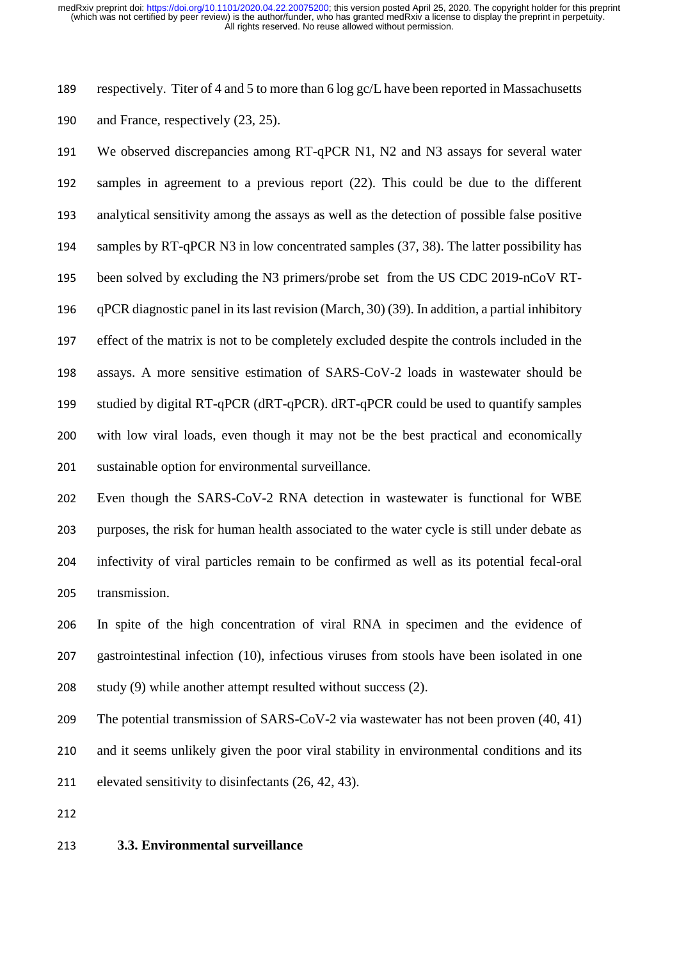respectively. Titer of 4 and 5 to more than 6 log gc/L have been reported in Massachusetts

and France, respectively (23, 25).

 We observed discrepancies among RT-qPCR N1, N2 and N3 assays for several water samples in agreement to a previous report (22). This could be due to the different analytical sensitivity among the assays as well as the detection of possible false positive samples by RT-qPCR N3 in low concentrated samples (37, 38). The latter possibility has been solved by excluding the N3 primers/probe set from the US CDC 2019-nCoV RT- qPCR diagnostic panel in its last revision (March, 30) (39). In addition, a partial inhibitory effect of the matrix is not to be completely excluded despite the controls included in the assays. A more sensitive estimation of SARS-CoV-2 loads in wastewater should be studied by digital RT-qPCR (dRT-qPCR). dRT-qPCR could be used to quantify samples with low viral loads, even though it may not be the best practical and economically sustainable option for environmental surveillance.

 Even though the SARS-CoV-2 RNA detection in wastewater is functional for WBE purposes, the risk for human health associated to the water cycle is still under debate as infectivity of viral particles remain to be confirmed as well as its potential fecal-oral transmission.

 In spite of the high concentration of viral RNA in specimen and the evidence of gastrointestinal infection (10), infectious viruses from stools have been isolated in one study (9) while another attempt resulted without success (2).

 The potential transmission of SARS-CoV-2 via wastewater has not been proven (40, 41) and it seems unlikely given the poor viral stability in environmental conditions and its elevated sensitivity to disinfectants (26, 42, 43).

#### **3.3. Environmental surveillance**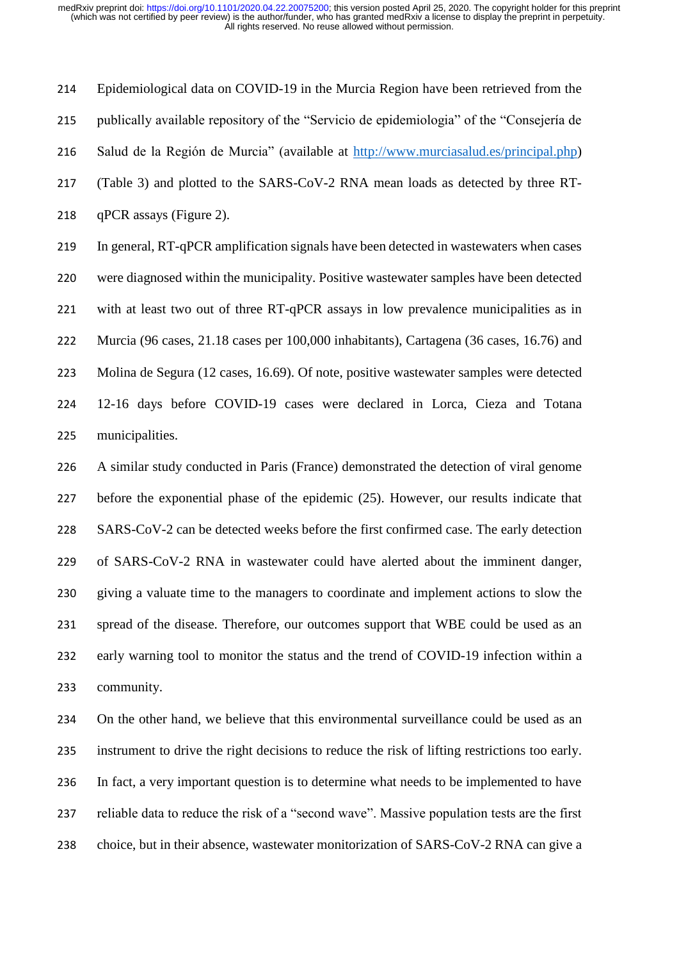Epidemiological data on COVID-19 in the Murcia Region have been retrieved from the publically available repository of the "Servicio de epidemiologia" of the "Consejería de Salud de la Región de Murcia" (available at [http://www.murciasalud.es/principal.php\)](http://www.murciasalud.es/principal.php) (Table 3) and plotted to the SARS-CoV-2 RNA mean loads as detected by three RT- qPCR assays (Figure 2). In general, RT-qPCR amplification signals have been detected in wastewaters when cases

 were diagnosed within the municipality. Positive wastewater samples have been detected with at least two out of three RT-qPCR assays in low prevalence municipalities as in Murcia (96 cases, 21.18 cases per 100,000 inhabitants), Cartagena (36 cases, 16.76) and Molina de Segura (12 cases, 16.69). Of note, positive wastewater samples were detected 12-16 days before COVID-19 cases were declared in Lorca, Cieza and Totana municipalities.

 A similar study conducted in Paris (France) demonstrated the detection of viral genome before the exponential phase of the epidemic (25). However, our results indicate that SARS-CoV-2 can be detected weeks before the first confirmed case. The early detection of SARS-CoV-2 RNA in wastewater could have alerted about the imminent danger, giving a valuate time to the managers to coordinate and implement actions to slow the spread of the disease. Therefore, our outcomes support that WBE could be used as an early warning tool to monitor the status and the trend of COVID-19 infection within a community.

 On the other hand, we believe that this environmental surveillance could be used as an instrument to drive the right decisions to reduce the risk of lifting restrictions too early. In fact, a very important question is to determine what needs to be implemented to have reliable data to reduce the risk of a "second wave". Massive population tests are the first choice, but in their absence, wastewater monitorization of SARS-CoV-2 RNA can give a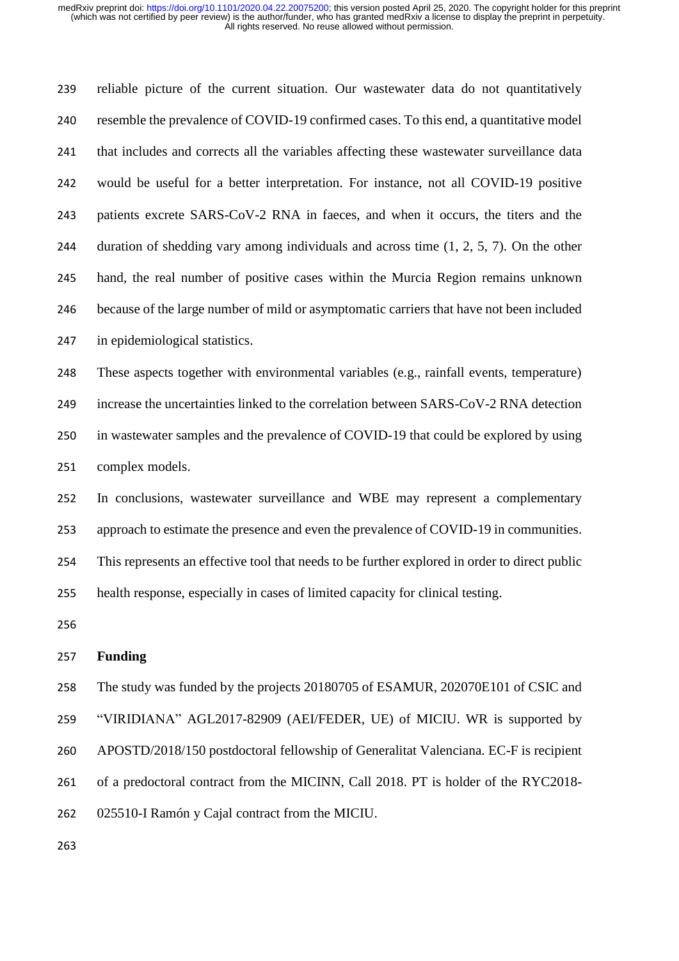reliable picture of the current situation. Our wastewater data do not quantitatively resemble the prevalence of COVID-19 confirmed cases. To this end, a quantitative model that includes and corrects all the variables affecting these wastewater surveillance data would be useful for a better interpretation. For instance, not all COVID-19 positive patients excrete SARS-CoV-2 RNA in faeces, and when it occurs, the titers and the duration of shedding vary among individuals and across time (1, 2, 5, 7). On the other hand, the real number of positive cases within the Murcia Region remains unknown because of the large number of mild or asymptomatic carriers that have not been included in epidemiological statistics. These aspects together with environmental variables (e.g., rainfall events, temperature)

 increase the uncertainties linked to the correlation between SARS-CoV-2 RNA detection in wastewater samples and the prevalence of COVID-19 that could be explored by using complex models.

 In conclusions, wastewater surveillance and WBE may represent a complementary approach to estimate the presence and even the prevalence of COVID-19 in communities. This represents an effective tool that needs to be further explored in order to direct public health response, especially in cases of limited capacity for clinical testing.

#### **Funding**

 The study was funded by the projects 20180705 of ESAMUR, 202070E101 of CSIC and "VIRIDIANA" AGL2017-82909 (AEI/FEDER, UE) of MICIU. WR is supported by APOSTD/2018/150 postdoctoral fellowship of Generalitat Valenciana. EC-F is recipient of a predoctoral contract from the MICINN, Call 2018. PT is holder of the RYC2018- 025510-I Ramón y Cajal contract from the MICIU.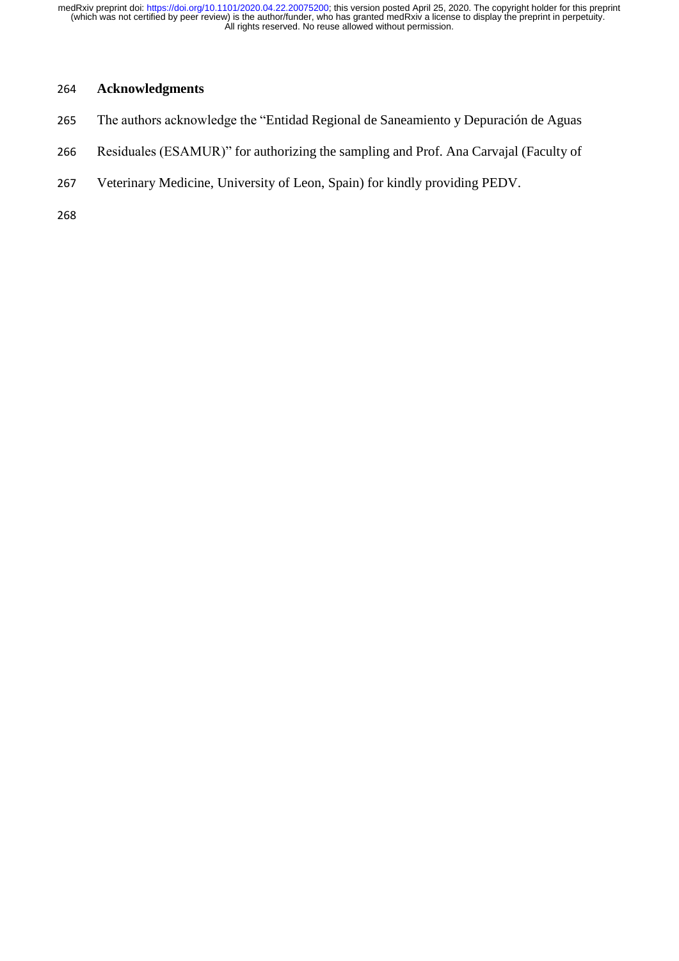## **Acknowledgments**

- The authors acknowledge the "Entidad Regional de Saneamiento y Depuración de Aguas
- Residuales (ESAMUR)" for authorizing the sampling and Prof. Ana Carvajal (Faculty of
- Veterinary Medicine, University of Leon, Spain) for kindly providing PEDV.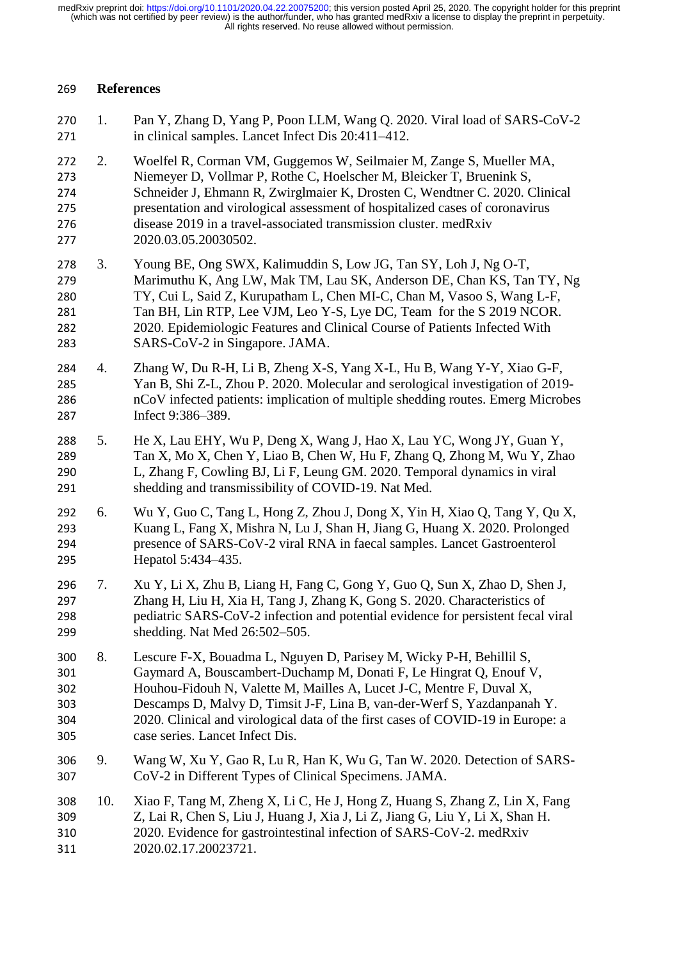#### **References**

| 270<br>271                             | 1.  | Pan Y, Zhang D, Yang P, Poon LLM, Wang Q. 2020. Viral load of SARS-CoV-2<br>in clinical samples. Lancet Infect Dis 20:411-412.                                                                                                                                                                                                                                                                                     |
|----------------------------------------|-----|--------------------------------------------------------------------------------------------------------------------------------------------------------------------------------------------------------------------------------------------------------------------------------------------------------------------------------------------------------------------------------------------------------------------|
| 272<br>273<br>274<br>275<br>276<br>277 | 2.  | Woelfel R, Corman VM, Guggemos W, Seilmaier M, Zange S, Mueller MA,<br>Niemeyer D, Vollmar P, Rothe C, Hoelscher M, Bleicker T, Bruenink S,<br>Schneider J, Ehmann R, Zwirglmaier K, Drosten C, Wendtner C. 2020. Clinical<br>presentation and virological assessment of hospitalized cases of coronavirus<br>disease 2019 in a travel-associated transmission cluster. medRxiv<br>2020.03.05.20030502.            |
| 278<br>279<br>280<br>281<br>282<br>283 | 3.  | Young BE, Ong SWX, Kalimuddin S, Low JG, Tan SY, Loh J, Ng O-T,<br>Marimuthu K, Ang LW, Mak TM, Lau SK, Anderson DE, Chan KS, Tan TY, Ng<br>TY, Cui L, Said Z, Kurupatham L, Chen MI-C, Chan M, Vasoo S, Wang L-F,<br>Tan BH, Lin RTP, Lee VJM, Leo Y-S, Lye DC, Team for the S 2019 NCOR.<br>2020. Epidemiologic Features and Clinical Course of Patients Infected With<br>SARS-CoV-2 in Singapore. JAMA.         |
| 284<br>285<br>286<br>287               | 4.  | Zhang W, Du R-H, Li B, Zheng X-S, Yang X-L, Hu B, Wang Y-Y, Xiao G-F,<br>Yan B, Shi Z-L, Zhou P. 2020. Molecular and serological investigation of 2019-<br>nCoV infected patients: implication of multiple shedding routes. Emerg Microbes<br>Infect 9:386-389.                                                                                                                                                    |
| 288<br>289<br>290<br>291               | 5.  | He X, Lau EHY, Wu P, Deng X, Wang J, Hao X, Lau YC, Wong JY, Guan Y,<br>Tan X, Mo X, Chen Y, Liao B, Chen W, Hu F, Zhang Q, Zhong M, Wu Y, Zhao<br>L, Zhang F, Cowling BJ, Li F, Leung GM. 2020. Temporal dynamics in viral<br>shedding and transmissibility of COVID-19. Nat Med.                                                                                                                                 |
| 292<br>293<br>294<br>295               | 6.  | Wu Y, Guo C, Tang L, Hong Z, Zhou J, Dong X, Yin H, Xiao Q, Tang Y, Qu X,<br>Kuang L, Fang X, Mishra N, Lu J, Shan H, Jiang G, Huang X. 2020. Prolonged<br>presence of SARS-CoV-2 viral RNA in faecal samples. Lancet Gastroenterol<br>Hepatol 5:434–435.                                                                                                                                                          |
| 296<br>297<br>298<br>299               | 7.  | Xu Y, Li X, Zhu B, Liang H, Fang C, Gong Y, Guo Q, Sun X, Zhao D, Shen J,<br>Zhang H, Liu H, Xia H, Tang J, Zhang K, Gong S. 2020. Characteristics of<br>pediatric SARS-CoV-2 infection and potential evidence for persistent fecal viral<br>shedding. Nat Med 26:502-505.                                                                                                                                         |
| 300<br>301<br>302<br>303<br>304<br>305 | 8.  | Lescure F-X, Bouadma L, Nguyen D, Parisey M, Wicky P-H, Behillil S,<br>Gaymard A, Bouscambert-Duchamp M, Donati F, Le Hingrat Q, Enouf V,<br>Houhou-Fidouh N, Valette M, Mailles A, Lucet J-C, Mentre F, Duval X,<br>Descamps D, Malvy D, Timsit J-F, Lina B, van-der-Werf S, Yazdanpanah Y.<br>2020. Clinical and virological data of the first cases of COVID-19 in Europe: a<br>case series. Lancet Infect Dis. |
| 306<br>307                             | 9.  | Wang W, Xu Y, Gao R, Lu R, Han K, Wu G, Tan W. 2020. Detection of SARS-<br>CoV-2 in Different Types of Clinical Specimens. JAMA.                                                                                                                                                                                                                                                                                   |
| 308<br>309<br>310<br>311               | 10. | Xiao F, Tang M, Zheng X, Li C, He J, Hong Z, Huang S, Zhang Z, Lin X, Fang<br>Z, Lai R, Chen S, Liu J, Huang J, Xia J, Li Z, Jiang G, Liu Y, Li X, Shan H.<br>2020. Evidence for gastrointestinal infection of SARS-CoV-2. medRxiv<br>2020.02.17.20023721.                                                                                                                                                         |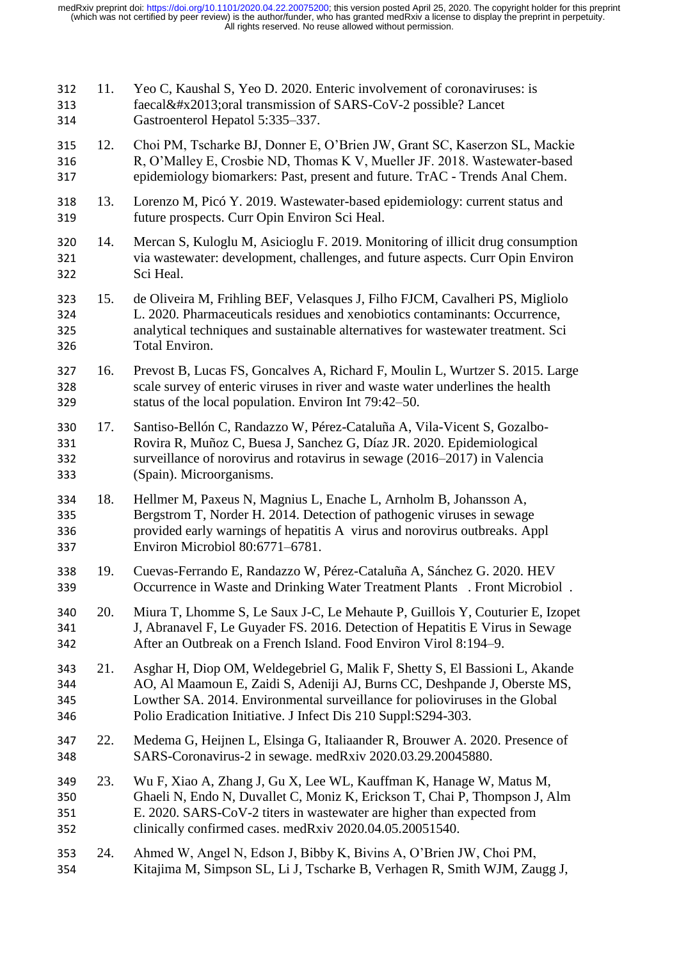| 312<br>313<br>314        | 11. | Yeo C, Kaushal S, Yeo D. 2020. Enteric involvement of coronaviruses: is<br>faecal–oral transmission of SARS-CoV-2 possible? Lancet<br>Gastroenterol Hepatol 5:335-337.                                                                                                                                    |
|--------------------------|-----|-----------------------------------------------------------------------------------------------------------------------------------------------------------------------------------------------------------------------------------------------------------------------------------------------------------|
| 315<br>316<br>317        | 12. | Choi PM, Tscharke BJ, Donner E, O'Brien JW, Grant SC, Kaserzon SL, Mackie<br>R, O'Malley E, Crosbie ND, Thomas K V, Mueller JF. 2018. Wastewater-based<br>epidemiology biomarkers: Past, present and future. TrAC - Trends Anal Chem.                                                                     |
| 318<br>319               | 13. | Lorenzo M, Picó Y. 2019. Wastewater-based epidemiology: current status and<br>future prospects. Curr Opin Environ Sci Heal.                                                                                                                                                                               |
| 320<br>321<br>322        | 14. | Mercan S, Kuloglu M, Asicioglu F. 2019. Monitoring of illicit drug consumption<br>via wastewater: development, challenges, and future aspects. Curr Opin Environ<br>Sci Heal.                                                                                                                             |
| 323<br>324<br>325<br>326 | 15. | de Oliveira M, Frihling BEF, Velasques J, Filho FJCM, Cavalheri PS, Migliolo<br>L. 2020. Pharmaceuticals residues and xenobiotics contaminants: Occurrence,<br>analytical techniques and sustainable alternatives for wastewater treatment. Sci<br>Total Environ.                                         |
| 327<br>328<br>329        | 16. | Prevost B, Lucas FS, Goncalves A, Richard F, Moulin L, Wurtzer S. 2015. Large<br>scale survey of enteric viruses in river and waste water underlines the health<br>status of the local population. Environ Int 79:42–50.                                                                                  |
| 330<br>331<br>332<br>333 | 17. | Santiso-Bellón C, Randazzo W, Pérez-Cataluña A, Vila-Vicent S, Gozalbo-<br>Rovira R, Muñoz C, Buesa J, Sanchez G, Díaz JR. 2020. Epidemiological<br>surveillance of norovirus and rotavirus in sewage (2016–2017) in Valencia<br>(Spain). Microorganisms.                                                 |
| 334<br>335<br>336<br>337 | 18. | Hellmer M, Paxeus N, Magnius L, Enache L, Arnholm B, Johansson A,<br>Bergstrom T, Norder H. 2014. Detection of pathogenic viruses in sewage<br>provided early warnings of hepatitis A virus and norovirus outbreaks. Appl<br>Environ Microbiol 80:6771-6781.                                              |
| 338<br>339               | 19. | Cuevas-Ferrando E, Randazzo W, Pérez-Cataluña A, Sánchez G. 2020. HEV<br>Occurrence in Waste and Drinking Water Treatment Plants . Front Microbiol                                                                                                                                                        |
| 340<br>341<br>342        | 20. | Miura T, Lhomme S, Le Saux J-C, Le Mehaute P, Guillois Y, Couturier E, Izopet<br>J, Abranavel F, Le Guyader FS. 2016. Detection of Hepatitis E Virus in Sewage<br>After an Outbreak on a French Island. Food Environ Virol 8:194-9.                                                                       |
| 343<br>344<br>345<br>346 | 21. | Asghar H, Diop OM, Weldegebriel G, Malik F, Shetty S, El Bassioni L, Akande<br>AO, Al Maamoun E, Zaidi S, Adeniji AJ, Burns CC, Deshpande J, Oberste MS,<br>Lowther SA. 2014. Environmental surveillance for polioviruses in the Global<br>Polio Eradication Initiative. J Infect Dis 210 Suppl:S294-303. |
| 347<br>348               | 22. | Medema G, Heijnen L, Elsinga G, Italiaander R, Brouwer A. 2020. Presence of<br>SARS-Coronavirus-2 in sewage. medRxiv 2020.03.29.20045880.                                                                                                                                                                 |
| 349<br>350<br>351<br>352 | 23. | Wu F, Xiao A, Zhang J, Gu X, Lee WL, Kauffman K, Hanage W, Matus M,<br>Ghaeli N, Endo N, Duvallet C, Moniz K, Erickson T, Chai P, Thompson J, Alm<br>E. 2020. SARS-CoV-2 titers in wastewater are higher than expected from<br>clinically confirmed cases. medRxiv 2020.04.05.20051540.                   |
| 353<br>354               | 24. | Ahmed W, Angel N, Edson J, Bibby K, Bivins A, O'Brien JW, Choi PM,<br>Kitajima M, Simpson SL, Li J, Tscharke B, Verhagen R, Smith WJM, Zaugg J,                                                                                                                                                           |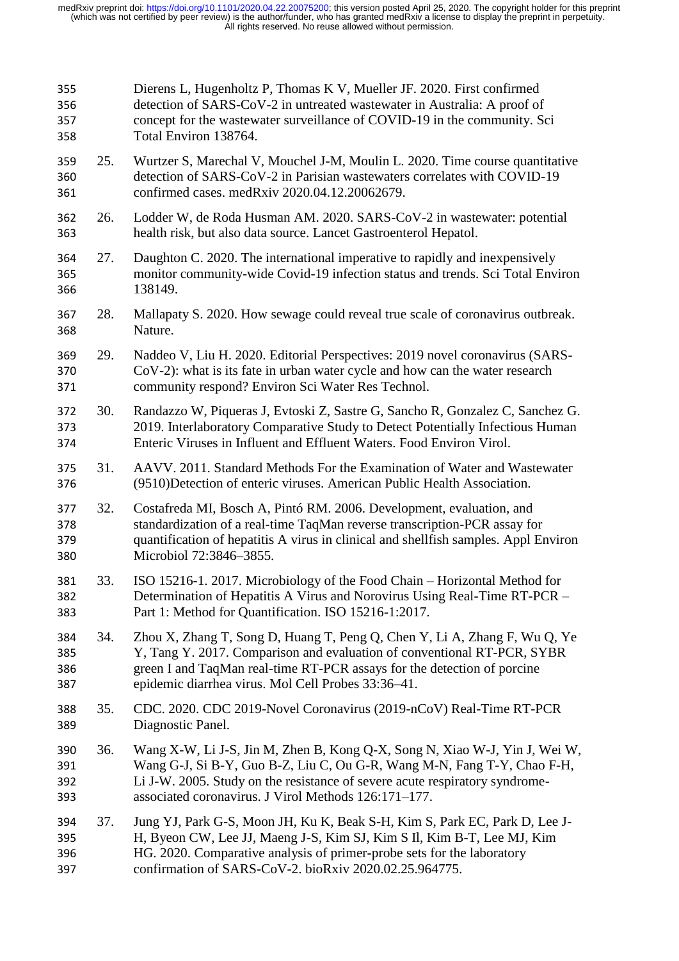| 355<br>356<br>357<br>358 |     | Dierens L, Hugenholtz P, Thomas K V, Mueller JF. 2020. First confirmed<br>detection of SARS-CoV-2 in untreated wastewater in Australia: A proof of<br>concept for the wastewater surveillance of COVID-19 in the community. Sci<br>Total Environ 138764.                                     |
|--------------------------|-----|----------------------------------------------------------------------------------------------------------------------------------------------------------------------------------------------------------------------------------------------------------------------------------------------|
| 359<br>360<br>361        | 25. | Wurtzer S, Marechal V, Mouchel J-M, Moulin L. 2020. Time course quantitative<br>detection of SARS-CoV-2 in Parisian wastewaters correlates with COVID-19<br>confirmed cases. medRxiv 2020.04.12.20062679.                                                                                    |
| 362<br>363               | 26. | Lodder W, de Roda Husman AM. 2020. SARS-CoV-2 in wastewater: potential<br>health risk, but also data source. Lancet Gastroenterol Hepatol.                                                                                                                                                   |
| 364<br>365<br>366        | 27. | Daughton C. 2020. The international imperative to rapidly and inexpensively<br>monitor community-wide Covid-19 infection status and trends. Sci Total Environ<br>138149.                                                                                                                     |
| 367<br>368               | 28. | Mallapaty S. 2020. How sewage could reveal true scale of coronavirus outbreak.<br>Nature.                                                                                                                                                                                                    |
| 369<br>370<br>371        | 29. | Naddeo V, Liu H. 2020. Editorial Perspectives: 2019 novel coronavirus (SARS-<br>CoV-2): what is its fate in urban water cycle and how can the water research<br>community respond? Environ Sci Water Res Technol.                                                                            |
| 372<br>373<br>374        | 30. | Randazzo W, Piqueras J, Evtoski Z, Sastre G, Sancho R, Gonzalez C, Sanchez G.<br>2019. Interlaboratory Comparative Study to Detect Potentially Infectious Human<br>Enteric Viruses in Influent and Effluent Waters. Food Environ Virol.                                                      |
| 375<br>376               | 31. | AAVV. 2011. Standard Methods For the Examination of Water and Wastewater<br>(9510)Detection of enteric viruses. American Public Health Association.                                                                                                                                          |
| 377<br>378<br>379<br>380 | 32. | Costafreda MI, Bosch A, Pintó RM. 2006. Development, evaluation, and<br>standardization of a real-time TaqMan reverse transcription-PCR assay for<br>quantification of hepatitis A virus in clinical and shellfish samples. Appl Environ<br>Microbiol 72:3846-3855.                          |
| 381<br>382<br>383        | 33. | ISO 15216-1. 2017. Microbiology of the Food Chain – Horizontal Method for<br>Determination of Hepatitis A Virus and Norovirus Using Real-Time RT-PCR -<br>Part 1: Method for Quantification. ISO 15216-1:2017.                                                                               |
| 384<br>385<br>386<br>387 | 34. | Zhou X, Zhang T, Song D, Huang T, Peng Q, Chen Y, Li A, Zhang F, Wu Q, Ye<br>Y, Tang Y. 2017. Comparison and evaluation of conventional RT-PCR, SYBR<br>green I and TaqMan real-time RT-PCR assays for the detection of porcine<br>epidemic diarrhea virus. Mol Cell Probes 33:36-41.        |
| 388<br>389               | 35. | CDC. 2020. CDC 2019-Novel Coronavirus (2019-nCoV) Real-Time RT-PCR<br>Diagnostic Panel.                                                                                                                                                                                                      |
| 390<br>391<br>392<br>393 | 36. | Wang X-W, Li J-S, Jin M, Zhen B, Kong Q-X, Song N, Xiao W-J, Yin J, Wei W,<br>Wang G-J, Si B-Y, Guo B-Z, Liu C, Ou G-R, Wang M-N, Fang T-Y, Chao F-H,<br>Li J-W. 2005. Study on the resistance of severe acute respiratory syndrome-<br>associated coronavirus. J Virol Methods 126:171-177. |
| 394<br>395<br>396<br>397 | 37. | Jung YJ, Park G-S, Moon JH, Ku K, Beak S-H, Kim S, Park EC, Park D, Lee J-<br>H, Byeon CW, Lee JJ, Maeng J-S, Kim SJ, Kim S II, Kim B-T, Lee MJ, Kim<br>HG. 2020. Comparative analysis of primer-probe sets for the laboratory<br>confirmation of SARS-CoV-2. bioRxiv 2020.02.25.964775.     |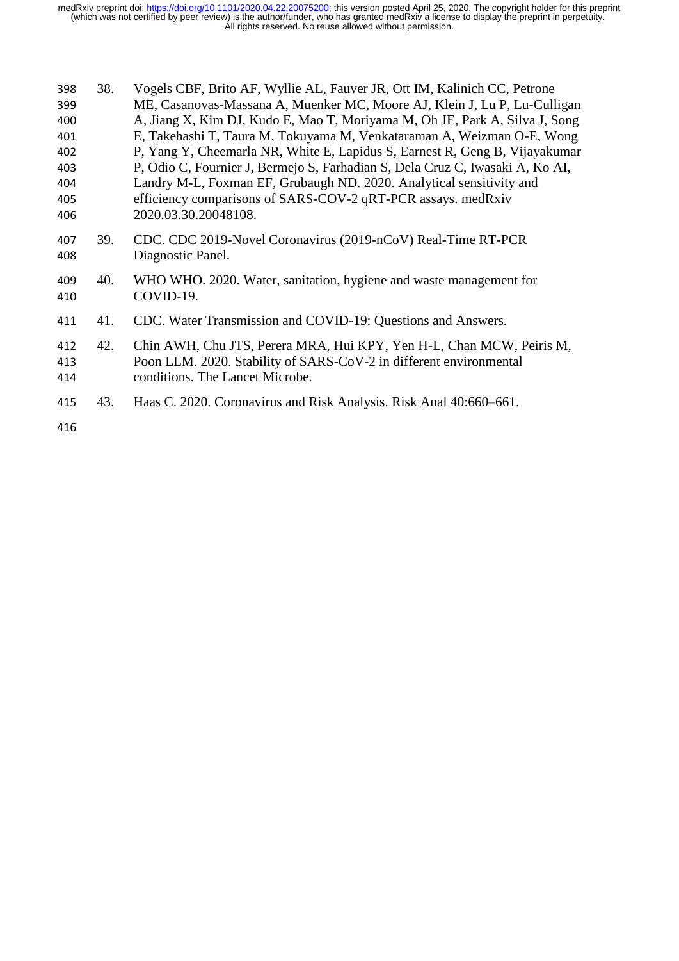| 398<br>399<br>400<br>401<br>402<br>403<br>404<br>405<br>406 | 38. | Vogels CBF, Brito AF, Wyllie AL, Fauver JR, Ott IM, Kalinich CC, Petrone<br>ME, Casanovas-Massana A, Muenker MC, Moore AJ, Klein J, Lu P, Lu-Culligan<br>A, Jiang X, Kim DJ, Kudo E, Mao T, Moriyama M, Oh JE, Park A, Silva J, Song<br>E, Takehashi T, Taura M, Tokuyama M, Venkataraman A, Weizman O-E, Wong<br>P, Yang Y, Cheemarla NR, White E, Lapidus S, Earnest R, Geng B, Vijayakumar<br>P, Odio C, Fournier J, Bermejo S, Farhadian S, Dela Cruz C, Iwasaki A, Ko AI,<br>Landry M-L, Foxman EF, Grubaugh ND. 2020. Analytical sensitivity and<br>efficiency comparisons of SARS-COV-2 qRT-PCR assays. medRxiv<br>2020.03.30.20048108. |
|-------------------------------------------------------------|-----|------------------------------------------------------------------------------------------------------------------------------------------------------------------------------------------------------------------------------------------------------------------------------------------------------------------------------------------------------------------------------------------------------------------------------------------------------------------------------------------------------------------------------------------------------------------------------------------------------------------------------------------------|
| 407<br>408                                                  | 39. | CDC. CDC 2019-Novel Coronavirus (2019-nCoV) Real-Time RT-PCR<br>Diagnostic Panel.                                                                                                                                                                                                                                                                                                                                                                                                                                                                                                                                                              |
| 409<br>410                                                  | 40. | WHO WHO. 2020. Water, sanitation, hygiene and waste management for<br>COVID-19.                                                                                                                                                                                                                                                                                                                                                                                                                                                                                                                                                                |
| 411                                                         | 41. | CDC. Water Transmission and COVID-19: Questions and Answers.                                                                                                                                                                                                                                                                                                                                                                                                                                                                                                                                                                                   |
| 412<br>413<br>414                                           | 42. | Chin AWH, Chu JTS, Perera MRA, Hui KPY, Yen H-L, Chan MCW, Peiris M,<br>Poon LLM. 2020. Stability of SARS-CoV-2 in different environmental<br>conditions. The Lancet Microbe.                                                                                                                                                                                                                                                                                                                                                                                                                                                                  |
| 415                                                         | 43. | Haas C. 2020. Coronavirus and Risk Analysis. Risk Anal 40:660–661.                                                                                                                                                                                                                                                                                                                                                                                                                                                                                                                                                                             |
| 416                                                         |     |                                                                                                                                                                                                                                                                                                                                                                                                                                                                                                                                                                                                                                                |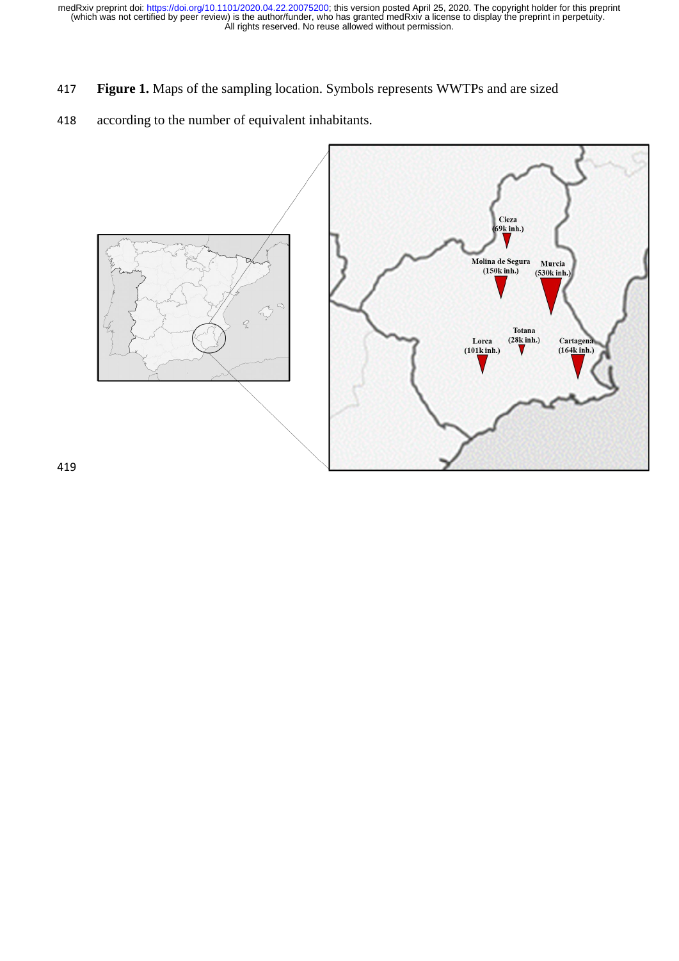- 417 **Figure 1.** Maps of the sampling location. Symbols represents WWTPs and are sized
- 418 according to the number of equivalent inhabitants.

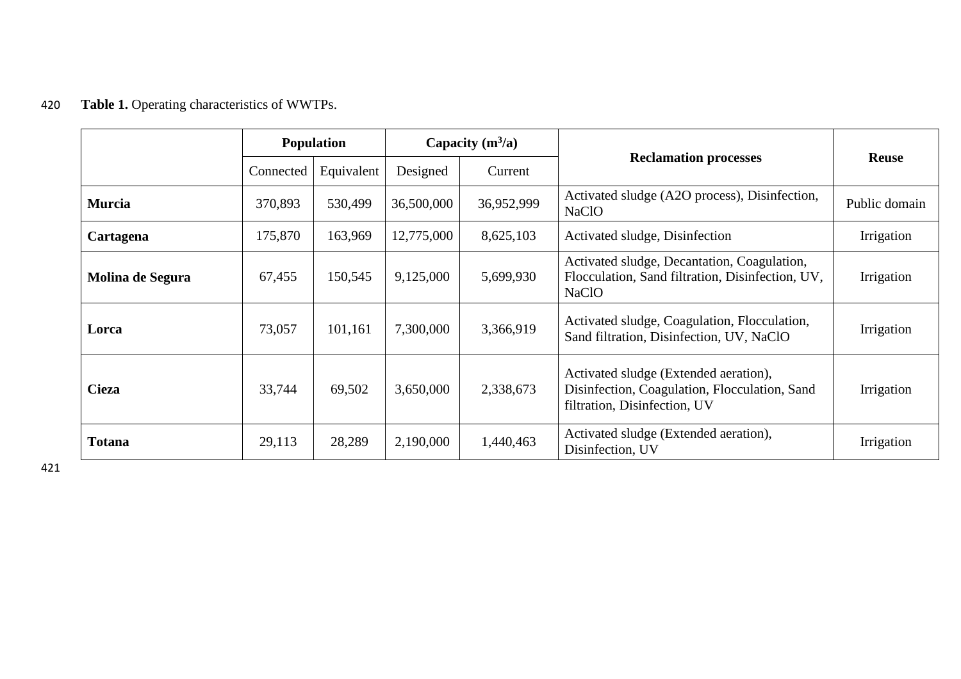# 420 **Table 1.** Operating characteristics of WWTPs.

|                  | <b>Population</b> |            | Capacity $(m^3/a)$ |            |                                                                                                                        | <b>Reuse</b>  |  |
|------------------|-------------------|------------|--------------------|------------|------------------------------------------------------------------------------------------------------------------------|---------------|--|
|                  | Connected         | Equivalent | Designed           | Current    | <b>Reclamation processes</b>                                                                                           |               |  |
| <b>Murcia</b>    | 370,893           | 530,499    | 36,500,000         | 36,952,999 | Activated sludge (A2O process), Disinfection,<br><b>NaClO</b>                                                          | Public domain |  |
| Cartagena        | 175,870           | 163,969    | 12,775,000         | 8,625,103  | Activated sludge, Disinfection                                                                                         | Irrigation    |  |
| Molina de Segura | 67,455            | 150,545    | 9,125,000          | 5,699,930  | Activated sludge, Decantation, Coagulation,<br>Flocculation, Sand filtration, Disinfection, UV,<br><b>NaClO</b>        | Irrigation    |  |
| Lorca            | 73,057            | 101,161    | 7,300,000          | 3,366,919  | Activated sludge, Coagulation, Flocculation,<br>Sand filtration, Disinfection, UV, NaClO                               | Irrigation    |  |
| <b>Cieza</b>     | 33,744            | 69,502     | 3,650,000          | 2,338,673  | Activated sludge (Extended aeration),<br>Disinfection, Coagulation, Flocculation, Sand<br>filtration, Disinfection, UV | Irrigation    |  |
| <b>Totana</b>    | 29,113            | 28,289     | 2,190,000          | 1,440,463  | Activated sludge (Extended aeration),<br>Disinfection, UV                                                              | Irrigation    |  |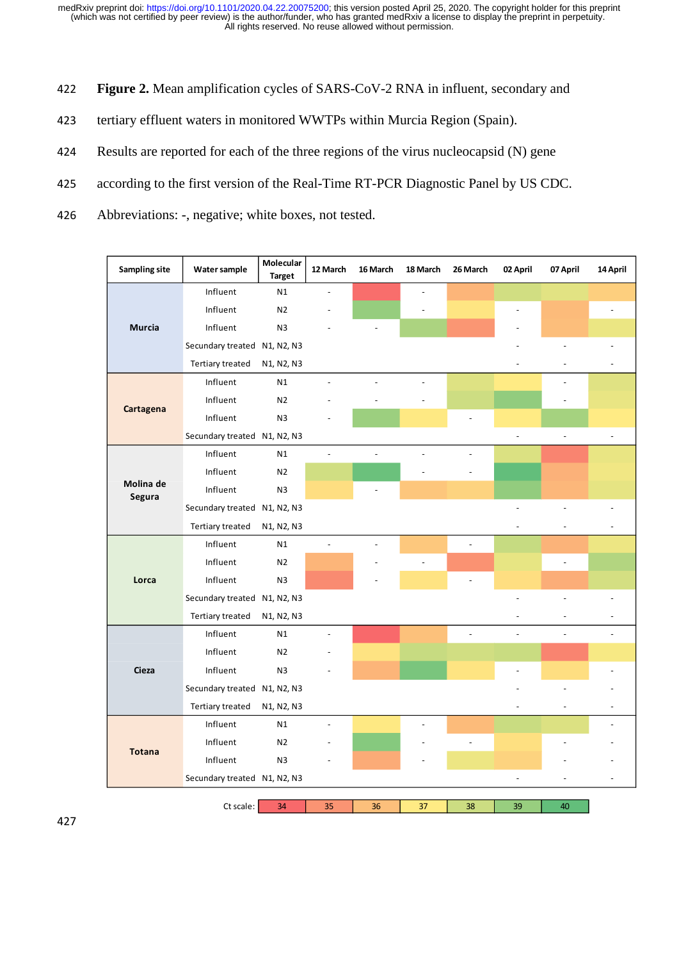- 422 **Figure 2.** Mean amplification cycles of SARS-CoV-2 RNA in influent, secondary and
- 423 tertiary effluent waters in monitored WWTPs within Murcia Region (Spain).
- 424 Results are reported for each of the three regions of the virus nucleocapsid (N) gene
- 425 according to the first version of the Real-Time RT-PCR Diagnostic Panel by US CDC.
- 426 Abbreviations: -, negative; white boxes, not tested.

| <b>Sampling site</b> | Water sample                 | Molecular<br><b>Target</b>                       | 12 March       | 16 March       | 18 March       | 26 March       | 02 April | 07 April                 | 14 April       |
|----------------------|------------------------------|--------------------------------------------------|----------------|----------------|----------------|----------------|----------|--------------------------|----------------|
|                      | Influent                     | N1                                               |                |                |                |                |          |                          |                |
|                      | Influent                     | N <sub>2</sub>                                   |                |                |                |                |          |                          |                |
| <b>Murcia</b>        | Influent                     | N <sub>3</sub>                                   |                |                |                |                |          |                          |                |
|                      | Secundary treated N1, N2, N3 |                                                  |                |                |                |                |          |                          |                |
|                      | Tertiary treated             | N1, N2, N3                                       |                |                |                |                |          |                          |                |
|                      | Influent                     | N1                                               |                |                |                |                |          |                          |                |
| Cartagena            | Influent                     | N <sub>2</sub>                                   |                |                |                |                |          |                          |                |
|                      | Influent                     | N <sub>3</sub>                                   |                |                |                |                |          |                          |                |
|                      | Secundary treated N1, N2, N3 |                                                  |                |                |                |                |          | $\overline{\phantom{a}}$ | $\overline{a}$ |
|                      | Influent                     | N1                                               | $\overline{a}$ | $\overline{a}$ |                | $\overline{a}$ |          |                          |                |
|                      | Influent                     | N <sub>2</sub>                                   |                |                |                |                |          |                          |                |
| Molina de<br>Segura  | Influent                     | N3                                               |                |                |                |                |          |                          |                |
|                      | Secundary treated N1, N2, N3 |                                                  |                |                |                |                |          |                          |                |
|                      | Tertiary treated             | N1, N2, N3                                       |                |                |                |                |          |                          |                |
|                      | Influent                     | N1                                               | $\overline{a}$ |                |                | $\overline{a}$ |          |                          |                |
|                      | Influent                     | N <sub>2</sub>                                   |                |                | $\overline{a}$ |                |          |                          |                |
| Lorca                | Influent                     | N <sub>3</sub>                                   |                |                |                |                |          |                          |                |
|                      | Secundary treated N1, N2, N3 |                                                  |                |                |                |                |          |                          |                |
|                      | Tertiary treated             | N <sub>1</sub> , N <sub>2</sub> , N <sub>3</sub> |                |                |                |                |          |                          |                |
|                      | Influent                     | N1                                               |                |                |                |                |          |                          |                |
|                      | Influent                     | N <sub>2</sub>                                   |                |                |                |                |          |                          |                |
| Cieza                | Influent                     | N <sub>3</sub>                                   |                |                |                |                |          |                          |                |
|                      | Secundary treated N1, N2, N3 |                                                  |                |                |                |                |          |                          |                |
|                      | Tertiary treated             | N1, N2, N3                                       |                |                |                |                |          |                          |                |
|                      | Influent                     | N1                                               |                |                |                |                |          |                          |                |
| <b>Totana</b>        | Influent                     | N <sub>2</sub>                                   |                |                |                | $\overline{a}$ |          |                          |                |
|                      | Influent                     | N <sub>3</sub>                                   |                |                |                |                |          |                          |                |
|                      | Secundary treated N1, N2, N3 |                                                  |                |                |                |                |          |                          |                |
|                      |                              |                                                  |                |                |                |                |          |                          |                |
|                      | Ct scale:                    | 34                                               | 35             | 36             | 37             | 38             | 39       | 40                       |                |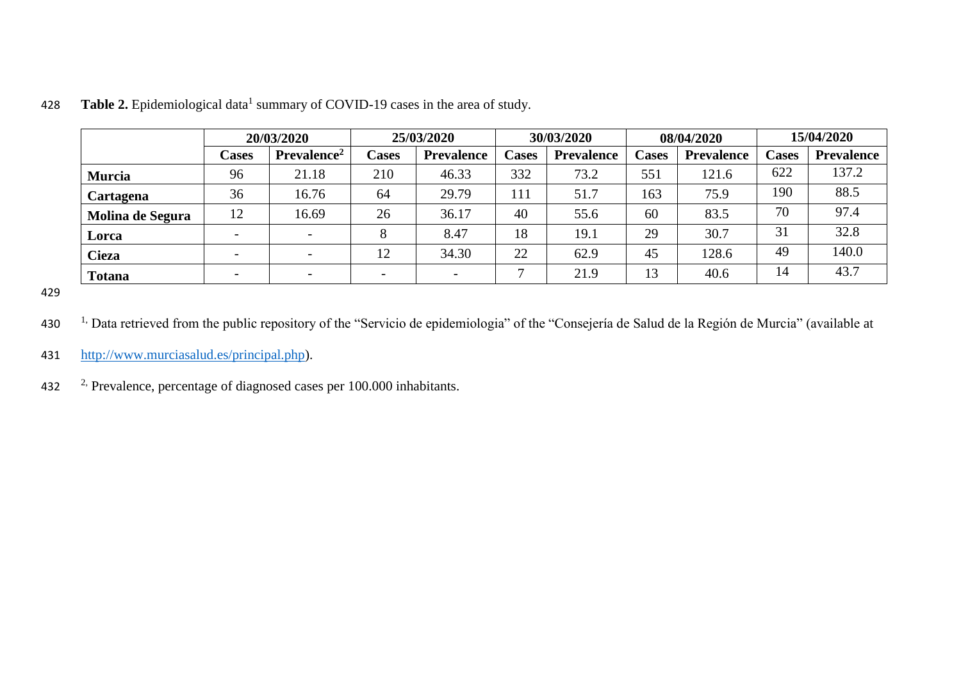|                  | 20/03/2020               |                          | 25/03/2020 |                   | 30/03/2020               |                   | 08/04/2020   |                   | 15/04/2020   |                   |
|------------------|--------------------------|--------------------------|------------|-------------------|--------------------------|-------------------|--------------|-------------------|--------------|-------------------|
|                  | Cases                    | Prevalence <sup>2</sup>  | Cases      | <b>Prevalence</b> | <b>Cases</b>             | <b>Prevalence</b> | <b>Cases</b> | <b>Prevalence</b> | <b>Cases</b> | <b>Prevalence</b> |
| <b>Murcia</b>    | 96                       | 21.18                    | 210        | 46.33             | 332                      | 73.2              | 551          | 121.6             | 622          | 137.2             |
| Cartagena        | 36                       | 16.76                    | 64         | 29.79             | 111                      | 51.7              | 163          | 75.9              | 190          | 88.5              |
| Molina de Segura | 12                       | 16.69                    | 26         | 36.17             | 40                       | 55.6              | 60           | 83.5              | 70           | 97.4              |
| Lorca            | $\overline{\phantom{0}}$ |                          | 8          | 8.47              | 18                       | 19.1              | 29           | 30.7              | 31           | 32.8              |
| <b>Cieza</b>     | $\overline{\phantom{0}}$ |                          | 12         | 34.30             | 22                       | 62.9              | 45           | 128.6             | 49           | 140.0             |
| <b>Totana</b>    | $\overline{\phantom{0}}$ | $\overline{\phantom{0}}$ |            |                   | $\overline{\phantom{0}}$ | 21.9              | 13           | 40.6              | 14           | 43.7              |

428 Table 2. Epidemiological data<sup>1</sup> summary of COVID-19 cases in the area of study.

- 430 <sup>1,</sup> Data retrieved from the public repository of the "Servicio de epidemiologia" of the "Consejería de Salud de la Región de Murcia" (available at
- 431 [http://www.murciasalud.es/principal.php\)](http://www.murciasalud.es/principal.php).
- 432  $\frac{2}{7}$ . Prevalence, percentage of diagnosed cases per 100.000 inhabitants.